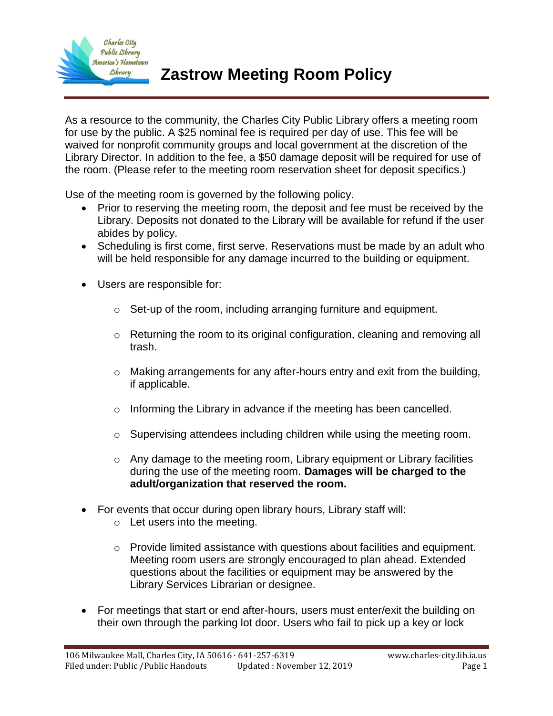

As a resource to the community, the Charles City Public Library offers a meeting room for use by the public. A \$25 nominal fee is required per day of use. This fee will be waived for nonprofit community groups and local government at the discretion of the Library Director. In addition to the fee, a \$50 damage deposit will be required for use of the room. (Please refer to the meeting room reservation sheet for deposit specifics.)

Use of the meeting room is governed by the following policy.

- Prior to reserving the meeting room, the deposit and fee must be received by the Library. Deposits not donated to the Library will be available for refund if the user abides by policy.
- Scheduling is first come, first serve. Reservations must be made by an adult who will be held responsible for any damage incurred to the building or equipment.
- Users are responsible for:
	- o Set-up of the room, including arranging furniture and equipment.
	- $\circ$  Returning the room to its original configuration, cleaning and removing all trash.
	- o Making arrangements for any after-hours entry and exit from the building, if applicable.
	- o Informing the Library in advance if the meeting has been cancelled.
	- o Supervising attendees including children while using the meeting room.
	- $\circ$  Any damage to the meeting room, Library equipment or Library facilities during the use of the meeting room. **Damages will be charged to the adult/organization that reserved the room.**
- For events that occur during open library hours, Library staff will:
	- o Let users into the meeting.
	- o Provide limited assistance with questions about facilities and equipment. Meeting room users are strongly encouraged to plan ahead. Extended questions about the facilities or equipment may be answered by the Library Services Librarian or designee.
- For meetings that start or end after-hours, users must enter/exit the building on their own through the parking lot door. Users who fail to pick up a key or lock